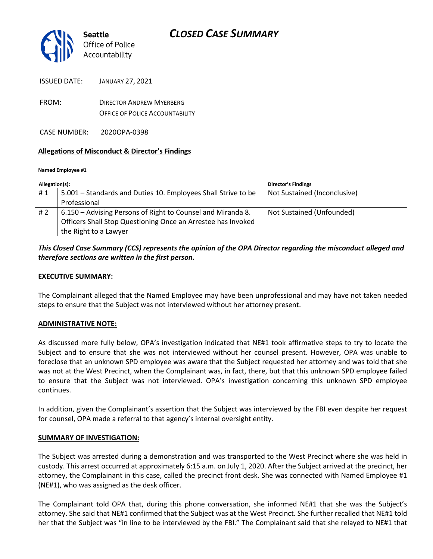

ISSUED DATE: JANUARY 27, 2021

FROM: DIRECTOR ANDREW MYERBERG OFFICE OF POLICE ACCOUNTABILITY

CASE NUMBER: 2020OPA-0398

### **Allegations of Misconduct & Director's Findings**

#### **Named Employee #1**

| Allegation(s): |                                                               | <b>Director's Findings</b>   |
|----------------|---------------------------------------------------------------|------------------------------|
| #1             | 5.001 – Standards and Duties 10. Employees Shall Strive to be | Not Sustained (Inconclusive) |
|                | Professional                                                  |                              |
| # 2            | 6.150 – Advising Persons of Right to Counsel and Miranda 8.   | Not Sustained (Unfounded)    |
|                | Officers Shall Stop Questioning Once an Arrestee has Invoked  |                              |
|                | the Right to a Lawyer                                         |                              |

## *This Closed Case Summary (CCS) represents the opinion of the OPA Director regarding the misconduct alleged and therefore sections are written in the first person.*

#### **EXECUTIVE SUMMARY:**

The Complainant alleged that the Named Employee may have been unprofessional and may have not taken needed steps to ensure that the Subject was not interviewed without her attorney present.

#### **ADMINISTRATIVE NOTE:**

As discussed more fully below, OPA's investigation indicated that NE#1 took affirmative steps to try to locate the Subject and to ensure that she was not interviewed without her counsel present. However, OPA was unable to foreclose that an unknown SPD employee was aware that the Subject requested her attorney and was told that she was not at the West Precinct, when the Complainant was, in fact, there, but that this unknown SPD employee failed to ensure that the Subject was not interviewed. OPA's investigation concerning this unknown SPD employee continues.

In addition, given the Complainant's assertion that the Subject was interviewed by the FBI even despite her request for counsel, OPA made a referral to that agency's internal oversight entity.

#### **SUMMARY OF INVESTIGATION:**

The Subject was arrested during a demonstration and was transported to the West Precinct where she was held in custody. This arrest occurred at approximately 6:15 a.m. on July 1, 2020. After the Subject arrived at the precinct, her attorney, the Complainant in this case, called the precinct front desk. She was connected with Named Employee #1 (NE#1), who was assigned as the desk officer.

The Complainant told OPA that, during this phone conversation, she informed NE#1 that she was the Subject's attorney. She said that NE#1 confirmed that the Subject was at the West Precinct. She further recalled that NE#1 told her that the Subject was "in line to be interviewed by the FBI." The Complainant said that she relayed to NE#1 that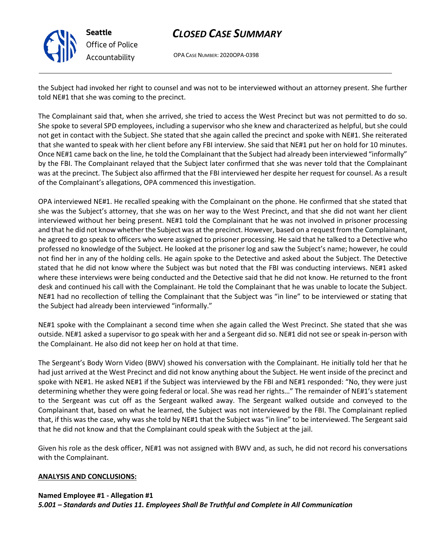

**Seattle** *Office of Police Accountability*

# *CLOSED CASE SUMMARY*

OPA CASE NUMBER: 2020OPA-0398

the Subject had invoked her right to counsel and was not to be interviewed without an attorney present. She further told NE#1 that she was coming to the precinct.

The Complainant said that, when she arrived, she tried to access the West Precinct but was not permitted to do so. She spoke to several SPD employees, including a supervisor who she knew and characterized as helpful, but she could not get in contact with the Subject. She stated that she again called the precinct and spoke with NE#1. She reiterated that she wanted to speak with her client before any FBI interview. She said that NE#1 put her on hold for 10 minutes. Once NE#1 came back on the line, he told the Complainant that the Subject had already been interviewed "informally" by the FBI. The Complainant relayed that the Subject later confirmed that she was never told that the Complainant was at the precinct. The Subject also affirmed that the FBI interviewed her despite her request for counsel. As a result of the Complainant's allegations, OPA commenced this investigation.

OPA interviewed NE#1. He recalled speaking with the Complainant on the phone. He confirmed that she stated that she was the Subject's attorney, that she was on her way to the West Precinct, and that she did not want her client interviewed without her being present. NE#1 told the Complainant that he was not involved in prisoner processing and that he did not know whether the Subject was at the precinct. However, based on a request from the Complainant, he agreed to go speak to officers who were assigned to prisoner processing. He said that he talked to a Detective who professed no knowledge of the Subject. He looked at the prisoner log and saw the Subject's name; however, he could not find her in any of the holding cells. He again spoke to the Detective and asked about the Subject. The Detective stated that he did not know where the Subject was but noted that the FBI was conducting interviews. NE#1 asked where these interviews were being conducted and the Detective said that he did not know. He returned to the front desk and continued his call with the Complainant. He told the Complainant that he was unable to locate the Subject. NE#1 had no recollection of telling the Complainant that the Subject was "in line" to be interviewed or stating that the Subject had already been interviewed "informally."

NE#1 spoke with the Complainant a second time when she again called the West Precinct. She stated that she was outside. NE#1 asked a supervisor to go speak with her and a Sergeant did so. NE#1 did not see or speak in-person with the Complainant. He also did not keep her on hold at that time.

The Sergeant's Body Worn Video (BWV) showed his conversation with the Complainant. He initially told her that he had just arrived at the West Precinct and did not know anything about the Subject. He went inside of the precinct and spoke with NE#1. He asked NE#1 if the Subject was interviewed by the FBI and NE#1 responded: "No, they were just determining whether they were going federal or local. She was read her rights…" The remainder of NE#1's statement to the Sergeant was cut off as the Sergeant walked away. The Sergeant walked outside and conveyed to the Complainant that, based on what he learned, the Subject was not interviewed by the FBI. The Complainant replied that, if this was the case, why was she told by NE#1 that the Subject was "in line" to be interviewed. The Sergeant said that he did not know and that the Complainant could speak with the Subject at the jail.

Given his role as the desk officer, NE#1 was not assigned with BWV and, as such, he did not record his conversations with the Complainant.

#### **ANALYSIS AND CONCLUSIONS:**

## **Named Employee #1 - Allegation #1**

*5.001 – Standards and Duties 11. Employees Shall Be Truthful and Complete in All Communication*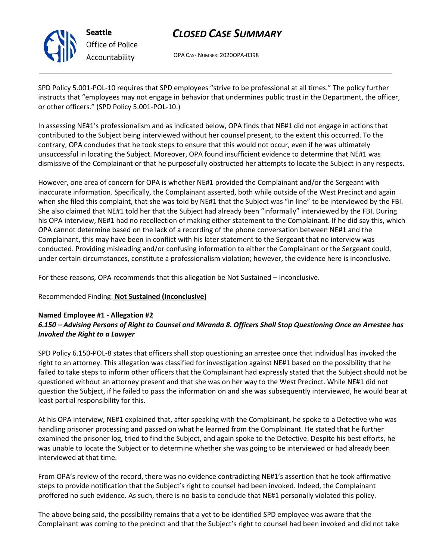

# *Office of Police*

# *CLOSED CASE SUMMARY*

OPA CASE NUMBER: 2020OPA-0398

SPD Policy 5.001-POL-10 requires that SPD employees "strive to be professional at all times." The policy further instructs that "employees may not engage in behavior that undermines public trust in the Department, the officer, or other officers." (SPD Policy 5.001-POL-10.)

In assessing NE#1's professionalism and as indicated below, OPA finds that NE#1 did not engage in actions that contributed to the Subject being interviewed without her counsel present, to the extent this occurred. To the contrary, OPA concludes that he took steps to ensure that this would not occur, even if he was ultimately unsuccessful in locating the Subject. Moreover, OPA found insufficient evidence to determine that NE#1 was dismissive of the Complainant or that he purposefully obstructed her attempts to locate the Subject in any respects.

However, one area of concern for OPA is whether NE#1 provided the Complainant and/or the Sergeant with inaccurate information. Specifically, the Complainant asserted, both while outside of the West Precinct and again when she filed this complaint, that she was told by NE#1 that the Subject was "in line" to be interviewed by the FBI. She also claimed that NE#1 told her that the Subject had already been "informally" interviewed by the FBI. During his OPA interview, NE#1 had no recollection of making either statement to the Complainant. If he did say this, which OPA cannot determine based on the lack of a recording of the phone conversation between NE#1 and the Complainant, this may have been in conflict with his later statement to the Sergeant that no interview was conducted. Providing misleading and/or confusing information to either the Complainant or the Sergeant could, under certain circumstances, constitute a professionalism violation; however, the evidence here is inconclusive.

For these reasons, OPA recommends that this allegation be Not Sustained – Inconclusive.

# Recommended Finding: **Not Sustained (Inconclusive)**

## **Named Employee #1 - Allegation #2** *6.150 – Advising Persons of Right to Counsel and Miranda 8. Officers Shall Stop Questioning Once an Arrestee has Invoked the Right to a Lawyer*

SPD Policy 6.150-POL-8 states that officers shall stop questioning an arrestee once that individual has invoked the right to an attorney. This allegation was classified for investigation against NE#1 based on the possibility that he failed to take steps to inform other officers that the Complainant had expressly stated that the Subject should not be questioned without an attorney present and that she was on her way to the West Precinct. While NE#1 did not question the Subject, if he failed to pass the information on and she was subsequently interviewed, he would bear at least partial responsibility for this.

At his OPA interview, NE#1 explained that, after speaking with the Complainant, he spoke to a Detective who was handling prisoner processing and passed on what he learned from the Complainant. He stated that he further examined the prisoner log, tried to find the Subject, and again spoke to the Detective. Despite his best efforts, he was unable to locate the Subject or to determine whether she was going to be interviewed or had already been interviewed at that time.

From OPA's review of the record, there was no evidence contradicting NE#1's assertion that he took affirmative steps to provide notification that the Subject's right to counsel had been invoked. Indeed, the Complainant proffered no such evidence. As such, there is no basis to conclude that NE#1 personally violated this policy.

The above being said, the possibility remains that a yet to be identified SPD employee was aware that the Complainant was coming to the precinct and that the Subject's right to counsel had been invoked and did not take